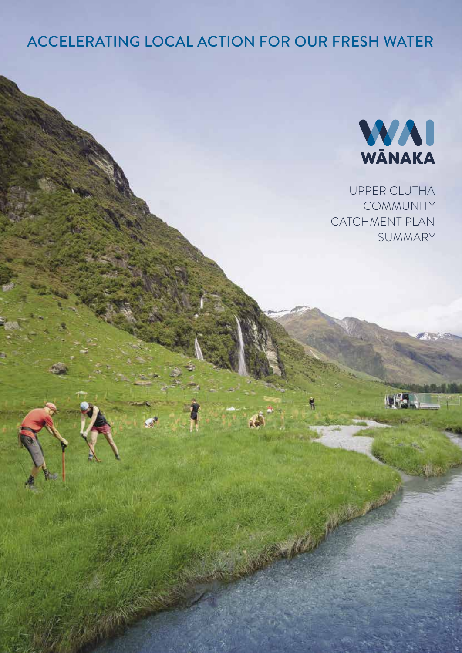## ACCELERATING LOCAL ACTION FOR OUR FRESH WATER



UPPER CLUTHA COMMUNITY CATCHMENT PLAN SUMMARY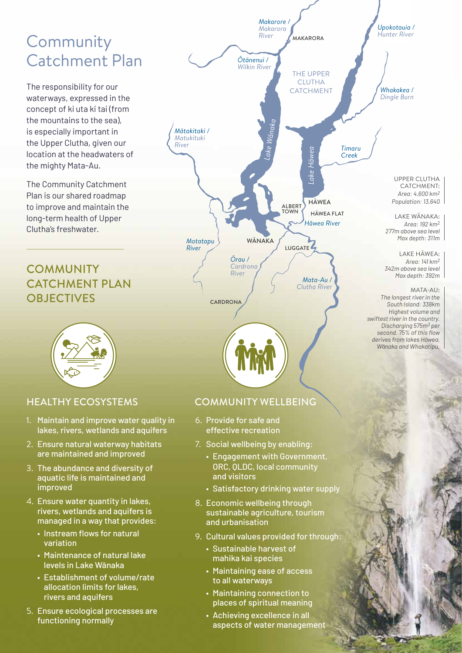# **Community** Catchment Plan

The responsibility for our waterways, expressed in the concept of ki uta ki tai (from the mountains to the sea), is especially important in the Upper Clutha, given our location at the headwaters of the mighty Mata-Au.

The Community Catchment Plan is our shared roadmap to improve and maintain the long-term health of Upper Clutha's freshwater.

## **COMMUNITY** CATCHMENT PLAN OBJECTIVES CARDRONA



### HEALTHY ECOSYSTEMS

- 1. Maintain and improve water quality in lakes, rivers, wetlands and aquifers
- 2. Ensure natural waterway habitats are maintained and improved
- 3. The abundance and diversity of aquatic life is maintained and improved
- 4. Ensure water quantity in lakes, rivers, wetlands and aquifers is managed in a way that provides:
	- Instream flows for natural variation
	- Maintenance of natural lake levels in Lake Wānaka
	- Establishment of volume/rate allocation limits for lakes, rivers and aquifers
- 5. Ensure ecological processes are functioning normally



*South Island: 338km Highest volume and swiftest river in the country. Discharging 575m3 per second. 75% of this flow derives from lakes Hāwea, Wānaka and Whakatipu.*

### COMMUNITY WELLBEING

- 6. Provide for safe and effective recreation
- 7. Social wellbeing by enabling:
	- Engagement with Government, ORC, QLDC, local community and visitors
	- Satisfactory drinking water supply
- 8. Economic wellbeing through sustainable agriculture, tourism and urbanisation
- 9. Cultural values provided for through:
	- Sustainable harvest of mahika kai species
	- Maintaining ease of access to all waterways
	- Maintaining connection to places of spiritual meaning
	- Achieving excellence in all aspects of water management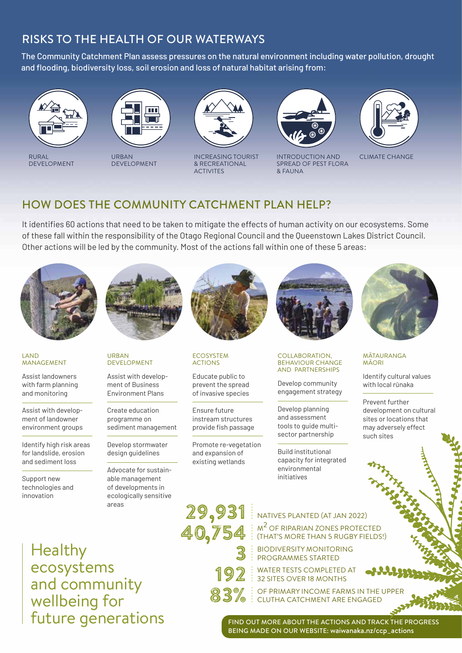## RISKS TO THE HEALTH OF OUR WATERWAYS

The Community Catchment Plan assess pressures on the natural environment including water pollution, drought and flooding, biodiversity loss, soil erosion and loss of natural habitat arising from:



RURAL DEVELOPMENT



DEVELOPMENT



& RECREATIONAL **ACTIVITES** 



URBAN INCREASING TOURIST INTRODUCTION AND CLIMATE CHANGE INTRODUCTION AND SPREAD OF PEST FLORA & FAUNA



### HOW DOES THE COMMUNITY CATCHMENT PLAN HELP?

It identifies 60 actions that need to be taken to mitigate the effects of human activity on our ecosystems. Some of these fall within the responsibility of the Otago Regional Council and the Queenstown Lakes District Council. Other actions will be led by the community. Most of the actions fall within one of these 5 areas:



#### LAND **MANAGEMENT**

Assist landowners with farm planning and monitoring

Assist with development of landowner environment groups

Identify high risk areas for landslide, erosion and sediment loss

Support new technologies and innovation



URBAN DEVELOPMENT

Assist with development of Business Environment Plans

Create education programme on sediment management

Develop stormwater design guidelines

Advocate for sustainable management of developments in ecologically sensitive areas



#### **ECOSYSTEM** ACTIONS

Educate public to prevent the spread of invasive species

Ensure future instream structures provide fish passage

Promote re-vegetation and expansion of existing wetlands



#### COLLABORATION. BEHAVIOUR CHANGE AND PARTNERSHIPS

Develop community engagement strategy

Develop planning and assessment tools to guide multisector partnership

Build institutional capacity for integrated environmental initiatives



#### MĀTAURANGA MĀORI

Identify cultural values with local rūnaka

Prevent further development on cultural sites or locations that may adversely effect such sites

Healthy ecosystems and community wellbeing for future generations

29,931 | NATIVES PLANTED (AT JAN 2022) M<sup>2</sup> OF RIPARIAN ZONES PROTECTED (THAT'S MORE THAN 5 RUGBY FIELDS!) BIODIVERSITY MONITORING PROGRAMMES STARTED WATER TESTS COMPLETED AT 32 SITES OVER 18 MONTHS OF PRIMARY INCOME FARMS IN THE UPPER CLUTHA CATCHMENT ARE ENGAGED 40,754 3 192 83%

> FIND OUT MORE ABOUT THE ACTIONS AND TRACK THE PROGRESS BEING MADE ON OUR WEBSITE: waiwanaka.nz/ccp\_actions